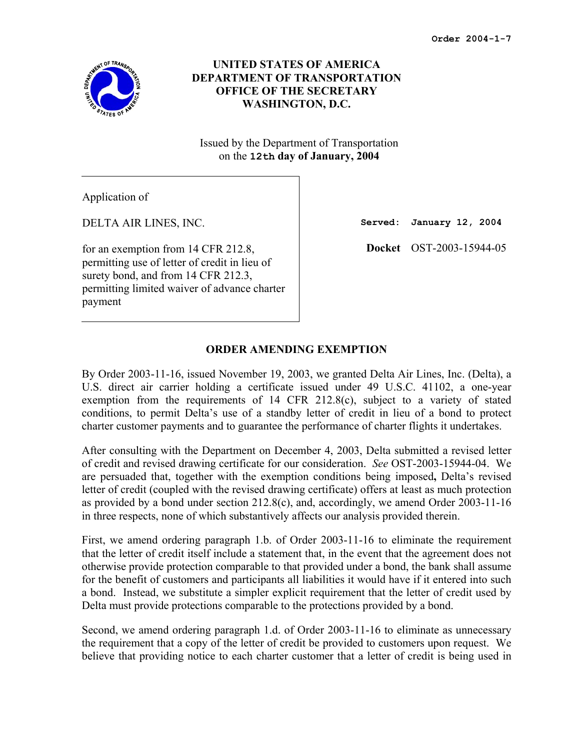

# **UNITED STATES OF AMERICA DEPARTMENT OF TRANSPORTATION OFFICE OF THE SECRETARY WASHINGTON, D.C.**

Issued by the Department of Transportation on the **12th day of January, 2004**

Application of

DELTA AIR LINES, INC.

for an exemption from 14 CFR 212.8, permitting use of letter of credit in lieu of surety bond, and from 14 CFR 212.3, permitting limited waiver of advance charter payment

**Served: January 12, 2004** 

**Docket** OST-2003-15944-05

# **ORDER AMENDING EXEMPTION**

By Order 2003-11-16, issued November 19, 2003, we granted Delta Air Lines, Inc. (Delta), a U.S. direct air carrier holding a certificate issued under 49 U.S.C. 41102, a one-year exemption from the requirements of 14 CFR 212.8(c), subject to a variety of stated conditions, to permit Delta's use of a standby letter of credit in lieu of a bond to protect charter customer payments and to guarantee the performance of charter flights it undertakes.

After consulting with the Department on December 4, 2003, Delta submitted a revised letter of credit and revised drawing certificate for our consideration. *See* OST-2003-15944-04. We are persuaded that, together with the exemption conditions being imposed**,** Delta's revised letter of credit (coupled with the revised drawing certificate) offers at least as much protection as provided by a bond under section 212.8(c), and, accordingly, we amend Order 2003-11-16 in three respects, none of which substantively affects our analysis provided therein.

First, we amend ordering paragraph 1.b. of Order 2003-11-16 to eliminate the requirement that the letter of credit itself include a statement that, in the event that the agreement does not otherwise provide protection comparable to that provided under a bond, the bank shall assume for the benefit of customers and participants all liabilities it would have if it entered into such a bond. Instead, we substitute a simpler explicit requirement that the letter of credit used by Delta must provide protections comparable to the protections provided by a bond.

Second, we amend ordering paragraph 1.d. of Order 2003-11-16 to eliminate as unnecessary the requirement that a copy of the letter of credit be provided to customers upon request. We believe that providing notice to each charter customer that a letter of credit is being used in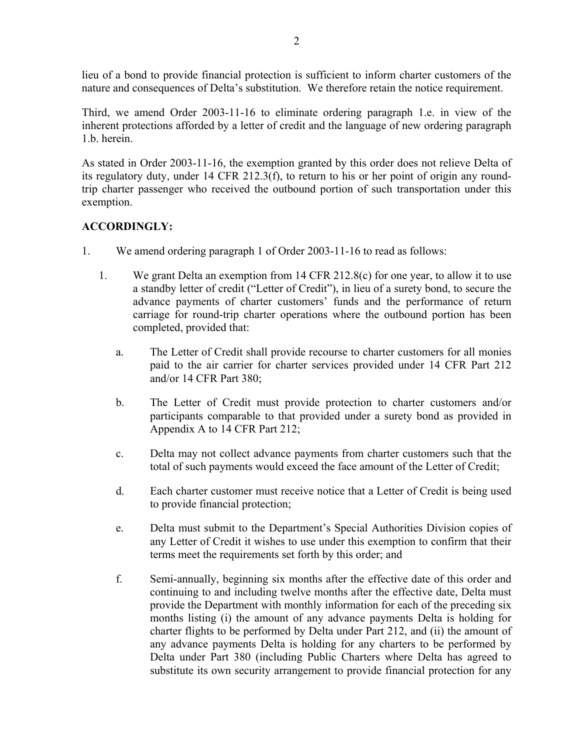lieu of a bond to provide financial protection is sufficient to inform charter customers of the nature and consequences of Delta's substitution. We therefore retain the notice requirement.

Third, we amend Order 2003-11-16 to eliminate ordering paragraph 1.e. in view of the inherent protections afforded by a letter of credit and the language of new ordering paragraph 1.b. herein.

As stated in Order 2003-11-16, the exemption granted by this order does not relieve Delta of its regulatory duty, under 14 CFR 212.3(f), to return to his or her point of origin any roundtrip charter passenger who received the outbound portion of such transportation under this exemption.

# **ACCORDINGLY:**

- 1. We amend ordering paragraph 1 of Order 2003-11-16 to read as follows:
	- 1. We grant Delta an exemption from 14 CFR 212.8(c) for one year, to allow it to use a standby letter of credit ("Letter of Credit"), in lieu of a surety bond, to secure the advance payments of charter customers' funds and the performance of return carriage for round-trip charter operations where the outbound portion has been completed, provided that:
		- a. The Letter of Credit shall provide recourse to charter customers for all monies paid to the air carrier for charter services provided under 14 CFR Part 212 and/or 14 CFR Part 380;
		- b. The Letter of Credit must provide protection to charter customers and/or participants comparable to that provided under a surety bond as provided in Appendix A to 14 CFR Part 212;
		- c. Delta may not collect advance payments from charter customers such that the total of such payments would exceed the face amount of the Letter of Credit;
		- d. Each charter customer must receive notice that a Letter of Credit is being used to provide financial protection;
		- e. Delta must submit to the Department's Special Authorities Division copies of any Letter of Credit it wishes to use under this exemption to confirm that their terms meet the requirements set forth by this order; and
		- f. Semi-annually, beginning six months after the effective date of this order and continuing to and including twelve months after the effective date, Delta must provide the Department with monthly information for each of the preceding six months listing (i) the amount of any advance payments Delta is holding for charter flights to be performed by Delta under Part 212, and (ii) the amount of any advance payments Delta is holding for any charters to be performed by Delta under Part 380 (including Public Charters where Delta has agreed to substitute its own security arrangement to provide financial protection for any